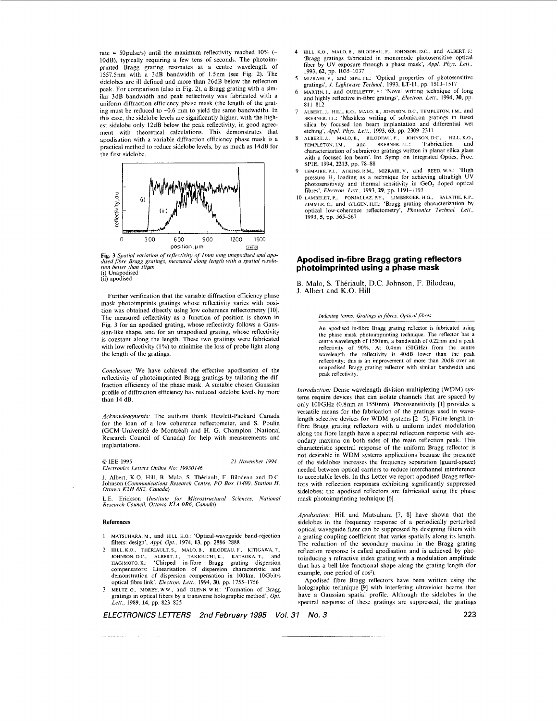rate = 50 pulse/s) until the maximum reflectivity reached  $10\%$  (-IOdB), typically requiring a few tens of seconds. The photoimprinted Bragg grating resonates at a centre wavelength of 1557.5nm with a 3dB bandwidth of 1.5nm (see Fig. 2). The sidelobes are ill defined and more than 26dB below the reflection peak. For comparison (also in Fig. *2),* a Bragg grating with a similar 3dB bandwidth and peak reflectivity was fabricated with a uniform diffraction efficiency phase mask (the length of the grating must be reduced to -0.6 mm to yield the same bandwidth). In this case, the sidelobe levels are significantly higher, with the highest sidelobe only 12dB below the peak reflectivity, in good agreement with theoretical calculations. This demonstrates that apodisation with a variable diffraction efficiency phase mask is a practical method to reduce sidelobe levels, by as much as 14dB for the first sidelobe.



**Fig. 3** Spatial variation of reflectivity of Imm long unapodised and apo-<br>dised fibre Bragg gratings, measured along length with a spatial resolu-<br>tion better than 50 µm (i) Unapodised

(ii) apodised

Further verification that the variable diffraction efficiency phase mask photoimprints gratings whose reflectivity varies with position was obtained directly using low coherence reflectometry [10]. The measured reflectivity as a function of position is shown in Fig. 3 for an apodised grating, whose reflectivity follows a Gaussian-like shape, and for an unapodised grating, whose reflectivity is constant along the length. These two gratings were fabricated with low reflectivity (1%) to minimise the **loss** of probe light along the length of the gratings.

*Conclusion:* We have achieved the effective apodisation of the reflectivity of photoimprinted Bragg gratings by tailoring the diffraction efficiency of the phase mask. A suitable chosen Gaussian profile of diffraction efficiency has reduced sidelobe levels by more than 14 dB.

*Acknowledgments:* The authors thank Hewlett-Packard Canada for the loan of a low coherence reflectometer, and **S.** Poulin (GCM-Universite de Montreal) and H. G. Champion (National Research Council of Canada) for help with measurements and implantations.

#### *0* IEE 1995 *Electronics Letters Online No: 1995O146 21 Noeember 1994*

**J.** Albert, K.O. Hill, B. Malo, **S.** Theriault, F. Bilodeau and D.C. Johnson *(Communications Research Centre. PO Box 11490. Station H, Ottawa K2H 8S2. Canada)* 

L.E. Erickson *(Institute for Microstructural Sciences, National Research Council. Ottawa KIA OR6. Canada)* 

### **Ref er en c** e *s*

- 1 MATSUHARA. M., and HILL, K.o.: 'Optical-waveguide hand-rejection filters: design', *Appl. Opt.*, 1974, 13, pp. 2886-2888
- 2 HILL. K.o., THERIAULT. s., MALO. B., BILODEAU. F., KITIGAWA. T., JOHNSON. D.C. ALBERT, J., TAKIGUCHI. K., KATAOKA, T., and HAGIMOTO. K.: 'Chirped in-fibre Bragg grating dispersion compensators: Linearisation of dispersion characteristic and demonstration of dispersion compensation in 100km, 10Gbit/s optical fibre link', *Electron. Lett.,* 1994, **30,** pp. 1755-1756
- MELTZ. G., MOREY. W.W., and GLENN. W.H.: 'Formation of Bragg gratings in optical fibers by a transverse holographic method, *Opt. Lett.,* 1989, **14,** pp. 823-825
- HILL, K.O., MALO, B., BILODEAU, F., JOHNSON, D.C., and ALBERT. J.: 'Bragg gratings fabricated in monomode photosensitive optical fiber by **UV** exposure through a phase mask', *Appl Phys. Lett..*  1993, **62,** pp. 1035-1037
- *5*
- MIZRAHI, v., and SIPE. J.E.: 'Optical properties of photosensitive gratings', *J. Lightwave Technol.*, 1993, **LT-11**, pp. 1513–1517<br>MARTIN, J., and OUELLETTE. F.: 'Novel writing technique of long<br>MARTIN, J., and OUELLETTE. 811-812 *6*
- ALBERT. J., HILL, K.O., MALO, B., JOHNSON. D.C., TEMPLETON. I.M., and BREBNER. I.L.: 'Maskless writing of submicron gratings in fused silica by focused ion beam implantation and differential wet etching', *Appl. Phys. Lett.*, 1993, **63**, pp. 2309–2311
- TEMPLETON, I.M., and BREBNER. J.L.: 'Fabrication and characterization of submicron gratings written in planar silica glass with a focused ion beam'. Int. Symp. on Integrated Optics, Proc. SPIE, 1994, **2213,** pp. 78-88 ALBERT, J., MALO, B., BILODEAU, F., JOHNSON, D.C.,
- LEMAIRE, P.J., ATKINS, R.M., MIZRAHI. V., and REED, W.A.: 'High pressure H2 loading as a technique for achieving ultrahigh **UV**  photosensitivity and thermal sensitivity in GeO, doped optical fibres', *Electron. Lett.,* 1993, **29,** pp. 1191-1193
- ZIMMER, C., and GILGEN. H.H.: <sup>'</sup>Bragg grating characterization by optical low-coherence reflectometry', *Photonics Technol. Lett.*, 1993, *5,* pp. 565-567 10 LAMBELET, P., FONJALLAL. P.Y., LIMBERGER. H G., SALATHE. R P.,

# **Apodised in-fibre Bragg grating reflectors photoimprinted using a phase mask**

B. Malo, **S.** Theriault, D.C. Johnson, F. Bilodeau, J. Albert and K.O. Hill

*Indexing terms: Gratings in fibres, Optical fibres* 

An apodised in-fibre Bragg grating reflector is fabricated using the phase mask photoimprinting technique. The reflector has a centre wavelength of 1550nm, a bandwidth of 0.22nm and a peak reflectivity **of 90%.** At 0.4nm *(50GHr)* from the centre wavelength the reflectivity is 40dB lower than the peak reflectivity; this is an improvement of more than 20dB over an unapodised Bragg grating reflector with similar bandwidth and peak reflectivity.

*Introduction;* Dense wavelength division multiplexing (WDM) systems require devices that can isolate channels that are spaced by only 100GHz (0.8nm at 1550nm). Photosensitivity [1] provides a versatile means for the fabrication of the gratings used in wavelength selective devices for WDM systems  $\overline{[2-5]}$ . Finite-length infibre Bragg grating reflectors with a uniform index modulation along the fibre length have a spectral reflection response with secondary maxima on both sides of the main reflection peak. This characteristic spectral response of the uniform Bragg reflector is not desirable in WDM systems applications because the presence of the sidelobes increases the frequency separation (guard-space) needed between optical carriers to reduce interchannel interference to acceptable levels. In this Letter we report apodised Bragg reflectors with reflection responses exhibiting significantly suppressed sidelobes; the apodised reflectors are fabricated using the phase mask photoimprinting technique *[6].* 

*Apodisation:* Hill and Matsuhara [7, 81 have shown that the sidelobes in the frequency response of a periodically perturbed optical waveguide filter can be suppressed by designing filters with a grating coupling coefficient that varies spatially along its length. The reduction of the secondary maxima in the Bragg grating reflection response is called apodisation and is achieved by photoinducing a refractive index grating with a modulation amplitude that has a bell-like functional shape along the grating length (for example, one period of cos<sup>2</sup>).

Apodised fibre Bragg reflectors have been written using the holographic technique [9] with interfering ultraviolet beams that have a Gaussian spatial profile. Although the sidelobes in the spectral response of these gratings are suppressed, the gratings

*ELECTRONICS LEnERS 2nd February 1995 Vol. 31 No. 3* **223**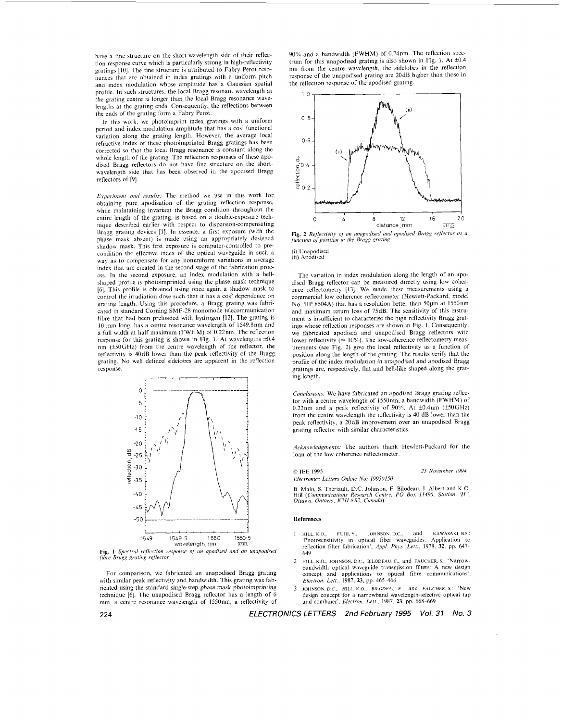<span id="page-1-0"></span>have a fine structure on the short-wavelength side of their reflection response curve which is particularly strong in high-reflectivity gratings [IO]. The fine structure is attributed to Fabry Perot resonances that are obtained in index gratings with a uniform pitch and index modulation whose amplitude has a Gaussian spatial profile. In such structures, the local Bragg resonant wavelength at the grating centre is longer than the local Bragg resonance wavelengths at the grating ends. Consequently, the reflections between the ends of the grating form a Fabry Perot.

In this work, we photoimprint index gratings with a uniform period and index modulation amplitude that has a cos<sup>2</sup> functional variation along the grating length. However, the average local refractive index of these photoimprinted Bragg gratings has been corrected *so* that the local Bragg resonance is constant along the whole length of the grating. The reflection responses of these apodised Bragg reflectors do not have fine structure on the shortwavelength side that has been observed in the apodised Bragg reflectors of [9].

*Experiment and results:* The method we use in this work for obtaining pure apodisation of the grating reflection response, while maintaining invariant the Bragg condition throughout the entire length of the grating. is based on a double-exposure technique described earlier with respect to dispersion-compensating Bragg grating devices [I]. In essence. a first exposure (with the phase inask absent) is made using an appropriately designed shadow mask. This first exposure is computer-controlled to precondition the effective index of the optical waveguide in auch a way as to compensate for any nonuniform variations in average index that are created in the second stage of the fabrication proccss. In the second exposure, an index modulation with a bellshaped profile **is** photoimprinted using the phase mask technique [6]. This profile is obtained using once again a shadow mask to control the irradiation dose such that it has a cos<sup>2</sup> dependence on grating length. Using this procedure, a Bragg grating was fabricated in standard Corning SMF-28 monomode telecommunication fibre that had been preloaded with hydrogen [12]. The grating is IO mm long, has a centre resonance wavelength of 1549.8nm and a full width at half maximum (FWHM) of 0.22nm. The reflection response for this grating is shown in [Fig.](#page-2-0) 1. At wavelengths  $\pm 0.4$ nm  $(\pm 50 \text{ GHz})$  from the centre wavelength of the reflector, the reflectivity **is** 40dB lower than the peak reflectivity of the Bragg grating. No well defined sidelobes are apparent in the reflection rcsponse.



**[Fig.](#page-2-0)** 1 Spectral reflection response of an apodised and an unapodised *fire Brugg grating reflector <i>grams <i>fileset* 

For comparison, we fabricated an unapodised Bragg grating with similar peak reflectivity and bandwidth. This grating was fabricated using the standard single-step phase mask photoimprinting technique [6]. The unapodised Bragg reflector has a length of 6 mm. a centre resonance wavelength of 1550nm, a reflectivity of 90% and a bandwidth (FWHM) of 0.24nm. The reflection spec-trum for this unapodised grating is also shown in [Fig.](#page-2-0) 1. At  $\pm 0.4$ nm from the centre wavelength, the sidelobes in the reflection response of the unapodised grating are 20dB higher than those in the reflection response of the apodised grating.



**Fig. 2** *Reflectivity of an unapodised and apodised Bragg reflector as a function ofposition in* the, *Brayg grating* 

# (i) Unapodised (ii) Apodised

The variation in index modulation along the length of an apodised Bragg reflector can he measured directly using low coherence reflectometry **[13].** We made these measurements using a commercial low coherence reflectometer (Hewlett-Packard, model No. HP 8504A) that has a resolution better than 50um at 1550nm and maximum return loss of 75dB. The sensitivity of this instrument is insufficient to characterise the high reflectivity Bragg gratings whose reflection responses are shown in [Fig.](#page-2-0) 1. Consequently, we fabricated apodised and unapodised Bragg reflectors with lower reflectivity ( $\approx 10\%$ ). The low-coherence reflectometry measurements (see Fig. 2) give the local reflectivity as a function of position along the length of the grating. The results verify that the profile of the index modulation in unapodised and apodised Bragg gratings are, respectively, flat and hell-like shaped along the grating length.

*Conclusions:* We have fabricated an apodised Bragg grating reflector with a centre wavelength of 1550nm. a handwidth (FWHM) of 0.22nm and a peak reflectivity of 90%. At  $\pm$ 0.4nm ( $\pm$ 50GHz) from the centre wavelength the reflectivity is 40 dB lower than the peak reflectivity, a 20dB improvement over an unapodised Bragg grating reflector with similar characteristics.

Acknowledgments: The authors thank Hewlett-Packard for the loan of the low coherence reflectometer.

IEE 1995 *25 Noi'efnher 1994 E1rcrrunic.r Letters Onhe No: 19950150* 

B. Malo, *S. Thériault, D.C. Johnson, F. Bilodeau, J. Albert and K.O.* Hill (Communications Research Centre, PO Box 11490, Station "H", Ottawa, Ontario, K2H 8S2, Canada)

### **References**

- I HILL, K.O., FUJII, Y., JOHNSON, D.C., and KAWASAKI, B.S.:<br>
'Photosensitivity in optical fiber waveguides: Application to<br>
reflection filter fabrication', *Appl. Phys. Lett.*, 1978, **32**, pp. 647-649
- bandwidth optical waveguide transmission filters: **A** new design concept and applications to optical fibre communications'. *Electron. Lett.*, 1987, 23, pp. 465–466 2 HILL. K *0,* JOHNSON. D.C, BILODFAU. **F.,** and FAUCHER. **S** : 'Narrow-
- JOHNSON. D.C., HILL. K.O., BILODEAU. F., and FAUCHER. s.: 'New design concept for a narrowband wavelength-selective optical lap and combiner', *Elecrrun. Lett.,* 1987. **23. pp.** 668-669

224 *ELECTRONICS LETTERS 2nd February 1995 Vol. 31 No. 3*